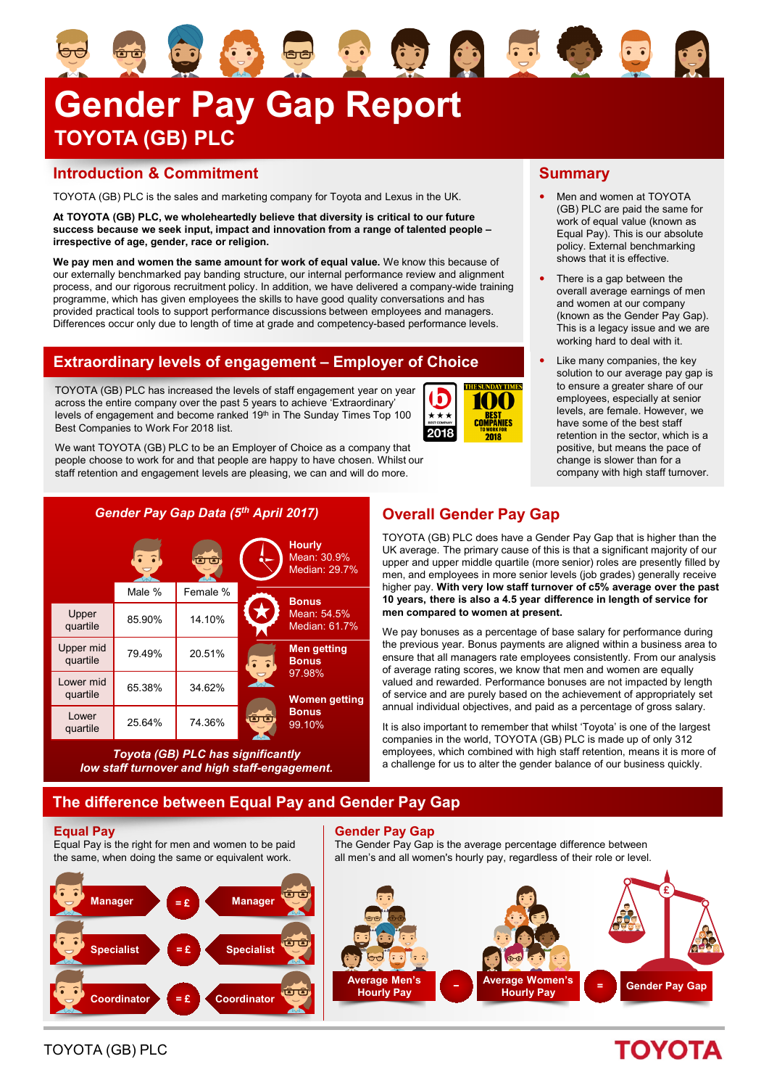# **Gender Pay Gap Report TOYOTA (GB) PLC**

### **Introduction & Commitment**

TOYOTA (GB) PLC is the sales and marketing company for Toyota and Lexus in the UK.

**At TOYOTA (GB) PLC, we wholeheartedly believe that diversity is critical to our future success because we seek input, impact and innovation from a range of talented people – irrespective of age, gender, race or religion.** 

**We pay men and women the same amount for work of equal value.** We know this because of our externally benchmarked pay banding structure, our internal performance review and alignment process, and our rigorous recruitment policy. In addition, we have delivered a company-wide training programme, which has given employees the skills to have good quality conversations and has provided practical tools to support performance discussions between employees and managers. Differences occur only due to length of time at grade and competency-based performance levels.

## **Extraordinary levels of engagement – Employer of Choice**

TOYOTA (GB) PLC has increased the levels of staff engagement year on year across the entire company over the past 5 years to achieve 'Extraordinary' levels of engagement and become ranked 19th in The Sunday Times Top 100 Best Companies to Work For 2018 list.

We want TOYOTA (GB) PLC to be an Employer of Choice as a company that people choose to work for and that people are happy to have chosen. Whilst our staff retention and engagement levels are pleasing, we can and will do more.



*Toyota (GB) PLC has significantly low staff turnover and high staff-engagement.*

## **Overall Gender Pay Gap**

**THE SHNDAY TIMES** 

100

**BEST<br>COMPANIES** 

 $2018$ 

h

 $\star\star\star$ 

2018

TOYOTA (GB) PLC does have a Gender Pay Gap that is higher than the UK average. The primary cause of this is that a significant majority of our upper and upper middle quartile (more senior) roles are presently filled by men, and employees in more senior levels (job grades) generally receive higher pay. **With very low staff turnover of c5% average over the past 10 years, there is also a 4.5 year difference in length of service for men compared to women at present.**

We pay bonuses as a percentage of base salary for performance during the previous year. Bonus payments are aligned within a business area to ensure that all managers rate employees consistently. From our analysis of average rating scores, we know that men and women are equally valued and rewarded. Performance bonuses are not impacted by length of service and are purely based on the achievement of appropriately set annual individual objectives, and paid as a percentage of gross salary.

It is also important to remember that whilst 'Toyota' is one of the largest companies in the world, TOYOTA (GB) PLC is made up of only 312 employees, which combined with high staff retention, means it is more of a challenge for us to alter the gender balance of our business quickly.

## **The difference between Equal Pay and Gender Pay Gap**

### **Equal Pay**

Equal Pay is the right for men and women to be paid the same, when doing the same or equivalent work.



### **Gender Pay Gap**

The Gender Pay Gap is the average percentage difference between all men's and all women's hourly pay, regardless of their role or level.

**<sup>−</sup> Average Women's Hourly Pay <sup>=</sup> Average Men's Hourly Pay £ Gender Pay Gap**

## **Summary**

使心日的

- Men and women at TOYOTA (GB) PLC are paid the same for work of equal value (known as Equal Pay). This is our absolute policy. External benchmarking shows that it is effective.
- There is a gap between the overall average earnings of men and women at our company (known as the Gender Pay Gap). This is a legacy issue and we are working hard to deal with it.
- Like many companies, the key solution to our average pay gap is to ensure a greater share of our employees, especially at senior levels, are female. However, we have some of the best staff retention in the sector, which is a positive, but means the pace of change is slower than for a company with high staff turnover.

## **TOYOTA**

TOYOTA (GB) PLC